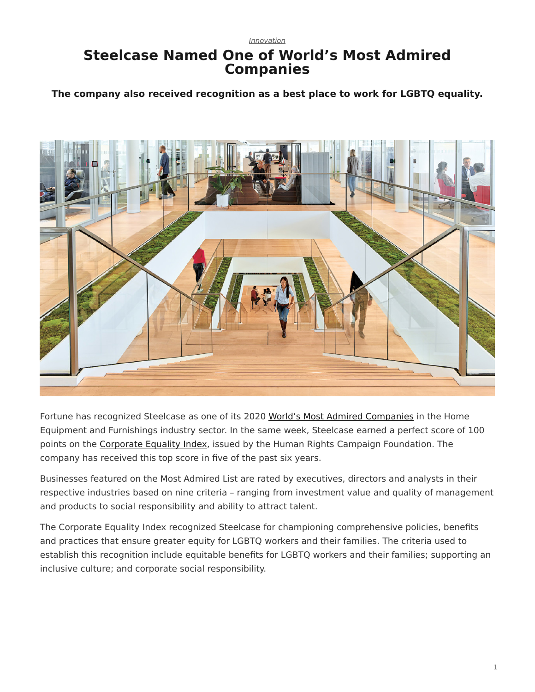## *[Innovation](https://www.steelcase.com/eu-en/research/topics/innovation/)*

## **Steelcase Named One of World's Most Admired Companies**

**The company also received recognition as a best place to work for LGBTQ equality.**



Fortune has recognized Steelcase as one of its 2020 [World's Most Admired Companies](https://fortune.com/worlds-most-admired-companies/) in the Home Equipment and Furnishings industry sector. In the same week, Steelcase earned a perfect score of 100 points on the [Corporate Equality Index](https://www.hrc.org/campaigns/corporate-equality-index), issued by the Human Rights Campaign Foundation. The company has received this top score in five of the past six years.

Businesses featured on the Most Admired List are rated by executives, directors and analysts in their respective industries based on nine criteria – ranging from investment value and quality of management and products to social responsibility and ability to attract talent.

The Corporate Equality Index recognized Steelcase for championing comprehensive policies, benefits and practices that ensure greater equity for LGBTQ workers and their families. The criteria used to establish this recognition include equitable benefits for LGBTQ workers and their families; supporting an inclusive culture; and corporate social responsibility.